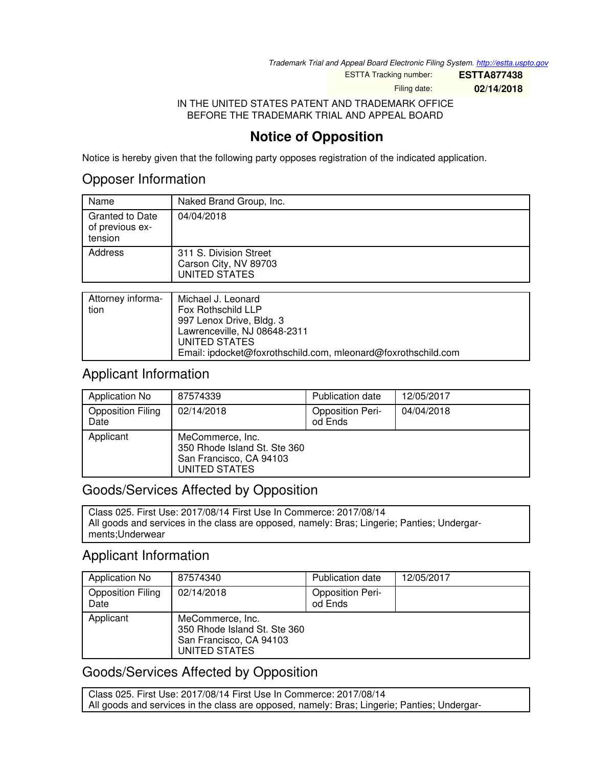*Trademark Trial and Appeal Board Electronic Filing System. <http://estta.uspto.gov>*

ESTTA Tracking number: **ESTTA877438**

Filing date: **02/14/2018**

IN THE UNITED STATES PATENT AND TRADEMARK OFFICE BEFORE THE TRADEMARK TRIAL AND APPEAL BOARD

# **Notice of Opposition**

Notice is hereby given that the following party opposes registration of the indicated application.

## Opposer Information

| Name                                                 | Naked Brand Group, Inc.                                                 |
|------------------------------------------------------|-------------------------------------------------------------------------|
| <b>Granted to Date</b><br>of previous ex-<br>tension | 04/04/2018                                                              |
| Address                                              | 311 S. Division Street<br>Carson City, NV 89703<br><b>UNITED STATES</b> |
|                                                      |                                                                         |
| Attorney informa-                                    | Michael J Leonard                                                       |

|      | Attorney informa-   Michael J. Leonard                        |
|------|---------------------------------------------------------------|
| tion | Fox Rothschild LLP                                            |
|      | 997 Lenox Drive, Bldg. 3                                      |
|      | Lawrenceville, NJ 08648-2311                                  |
|      | UNITED STATES                                                 |
|      | Email: ipdocket@foxrothschild.com, mleonard@foxrothschild.com |

### Applicant Information

| Application No                   | 87574339                                                                                     | <b>Publication date</b>            | 12/05/2017 |
|----------------------------------|----------------------------------------------------------------------------------------------|------------------------------------|------------|
| <b>Opposition Filing</b><br>Date | 02/14/2018                                                                                   | <b>Opposition Peri-</b><br>od Ends | 04/04/2018 |
| Applicant                        | MeCommerce, Inc.<br>350 Rhode Island St. Ste 360<br>San Francisco, CA 94103<br>UNITED STATES |                                    |            |

### Goods/Services Affected by Opposition

Class 025. First Use: 2017/08/14 First Use In Commerce: 2017/08/14 All goods and services in the class are opposed, namely: Bras; Lingerie; Panties; Undergarments;Underwear

## Applicant Information

| Application No                   | 87574340                                                                                     | Publication date                   | 12/05/2017 |
|----------------------------------|----------------------------------------------------------------------------------------------|------------------------------------|------------|
| <b>Opposition Filing</b><br>Date | 02/14/2018                                                                                   | <b>Opposition Peri-</b><br>od Ends |            |
| Applicant                        | MeCommerce, Inc.<br>350 Rhode Island St. Ste 360<br>San Francisco, CA 94103<br>UNITED STATES |                                    |            |

## Goods/Services Affected by Opposition

Class 025. First Use: 2017/08/14 First Use In Commerce: 2017/08/14 All goods and services in the class are opposed, namely: Bras; Lingerie; Panties; Undergar-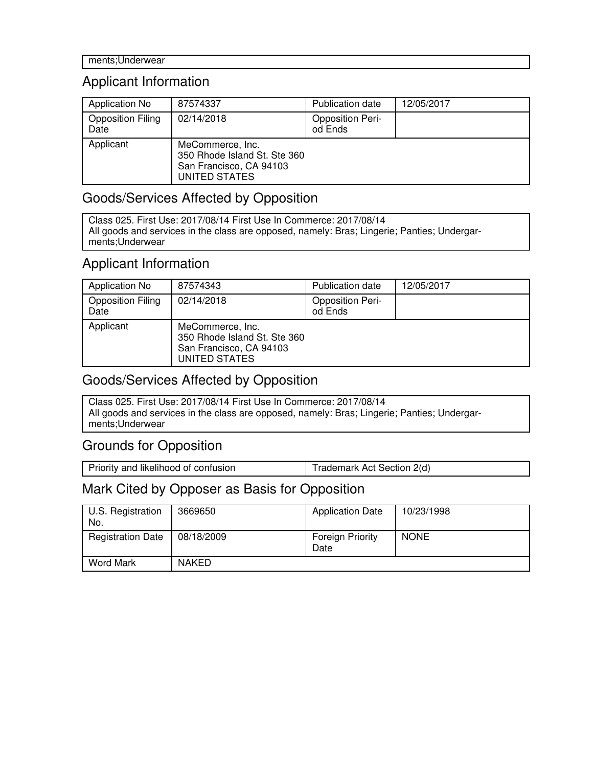## Applicant Information

| Application No                   | 87574337                                                                                     | <b>Publication date</b>            | 12/05/2017 |
|----------------------------------|----------------------------------------------------------------------------------------------|------------------------------------|------------|
| <b>Opposition Filing</b><br>Date | 02/14/2018                                                                                   | <b>Opposition Peri-</b><br>od Ends |            |
| Applicant                        | MeCommerce, Inc.<br>350 Rhode Island St. Ste 360<br>San Francisco, CA 94103<br>UNITED STATES |                                    |            |

#### Goods/Services Affected by Opposition

Class 025. First Use: 2017/08/14 First Use In Commerce: 2017/08/14 All goods and services in the class are opposed, namely: Bras; Lingerie; Panties; Undergarments;Underwear

#### Applicant Information

| Application No                   | 87574343                                                                                     | <b>Publication date</b>            | 12/05/2017 |
|----------------------------------|----------------------------------------------------------------------------------------------|------------------------------------|------------|
| <b>Opposition Filing</b><br>Date | 02/14/2018                                                                                   | <b>Opposition Peri-</b><br>od Ends |            |
| Applicant                        | MeCommerce, Inc.<br>350 Rhode Island St. Ste 360<br>San Francisco, CA 94103<br>UNITED STATES |                                    |            |

### Goods/Services Affected by Opposition

Class 025. First Use: 2017/08/14 First Use In Commerce: 2017/08/14 All goods and services in the class are opposed, namely: Bras; Lingerie; Panties; Undergarments;Underwear

### Grounds for Opposition

Priority and likelihood of confusion Trademark Act Section 2(d)

### Mark Cited by Opposer as Basis for Opposition

| U.S. Registration<br>No. | 3669650      | <b>Application Date</b>         | 10/23/1998  |
|--------------------------|--------------|---------------------------------|-------------|
| <b>Registration Date</b> | 08/18/2009   | <b>Foreign Priority</b><br>Date | <b>NONE</b> |
| <b>Word Mark</b>         | <b>NAKED</b> |                                 |             |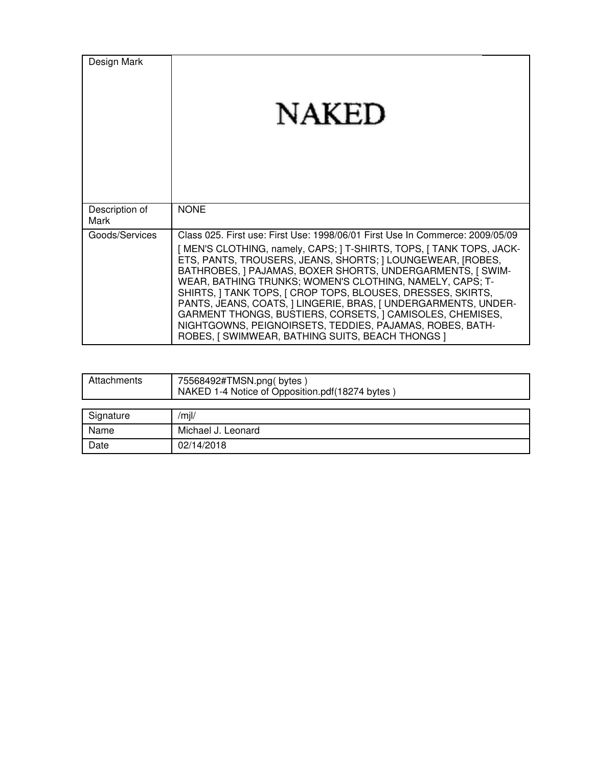| Design Mark            | <b>NAKED</b>                                                                                                                                                                                                                                                                                                                                                                                                                                                                                                                                                                                                                                                |
|------------------------|-------------------------------------------------------------------------------------------------------------------------------------------------------------------------------------------------------------------------------------------------------------------------------------------------------------------------------------------------------------------------------------------------------------------------------------------------------------------------------------------------------------------------------------------------------------------------------------------------------------------------------------------------------------|
| Description of<br>Mark | <b>NONE</b>                                                                                                                                                                                                                                                                                                                                                                                                                                                                                                                                                                                                                                                 |
| Goods/Services         | Class 025. First use: First Use: 1998/06/01 First Use In Commerce: 2009/05/09<br>[ MEN'S CLOTHING, namely, CAPS; ] T-SHIRTS, TOPS, [ TANK TOPS, JACK-<br>ETS, PANTS, TROUSERS, JEANS, SHORTS;   LOUNGEWEAR, [ROBES,<br>BATHROBES, ] PAJAMAS, BOXER SHORTS, UNDERGARMENTS, [ SWIM-<br>WEAR, BATHING TRUNKS; WOMEN'S CLOTHING, NAMELY, CAPS; T-<br>SHIRTS, I TANK TOPS, I CROP TOPS, BLOUSES, DRESSES, SKIRTS,<br>PANTS, JEANS, COATS,   LINGERIE, BRAS,   UNDERGARMENTS, UNDER-<br>GARMENT THONGS, BUSTIERS, CORSETS, J CAMISOLES, CHEMISES,<br>NIGHTGOWNS, PEIGNOIRSETS, TEDDIES, PAJAMAS, ROBES, BATH-<br>ROBES, [ SWIMWEAR, BATHING SUITS, BEACH THONGS ] |

| Attachments | 75568492#TMSN.png(bytes)<br>NAKED 1-4 Notice of Opposition.pdf(18274 bytes |
|-------------|----------------------------------------------------------------------------|
|             |                                                                            |
| Signature   | /m  /                                                                      |
| Name        | Michael J. Leonard                                                         |
| Date        | 02/14/2018                                                                 |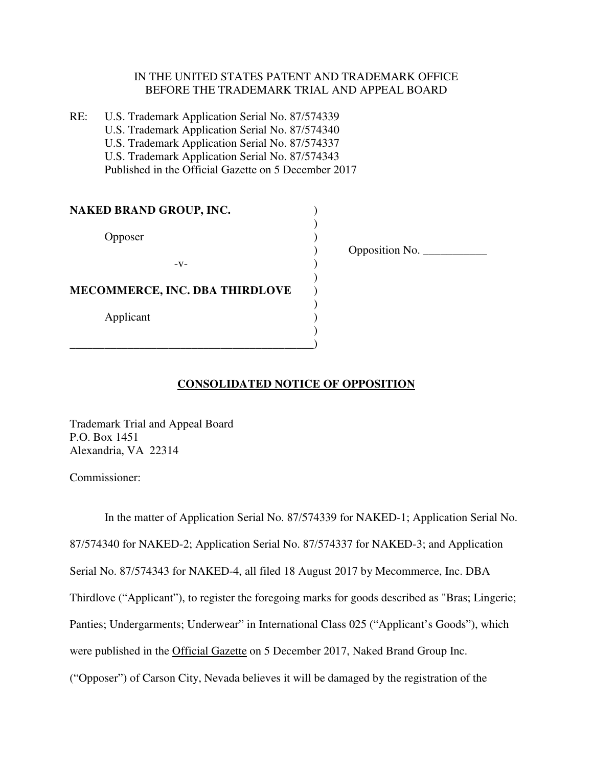#### IN THE UNITED STATES PATENT AND TRADEMARK OFFICE BEFORE THE TRADEMARK TRIAL AND APPEAL BOARD

)

RE: U.S. Trademark Application Serial No. 87/574339 U.S. Trademark Application Serial No. 87/574340 U.S. Trademark Application Serial No. 87/574337 U.S. Trademark Application Serial No. 87/574343 Published in the Official Gazette on 5 December 2017

| NAKED BRAND GROUP, INC.               |  |
|---------------------------------------|--|
| Opposer                               |  |
| $-V-$                                 |  |
| <b>MECOMMERCE, INC. DBA THIRDLOVE</b> |  |
| Applicant                             |  |

 $\qquad \qquad \qquad \qquad \qquad$ 

) Opposition No. \_\_\_\_\_\_\_\_\_\_\_

#### **CONSOLIDATED NOTICE OF OPPOSITION**

Trademark Trial and Appeal Board P.O. Box 1451 Alexandria, VA 22314

Commissioner:

In the matter of Application Serial No. 87/574339 for NAKED-1; Application Serial No. 87/574340 for NAKED-2; Application Serial No. 87/574337 for NAKED-3; and Application Serial No. 87/574343 for NAKED-4, all filed 18 August 2017 by Mecommerce, Inc. DBA Thirdlove ("Applicant"), to register the foregoing marks for goods described as "Bras; Lingerie; Panties; Undergarments; Underwear" in International Class 025 ("Applicant's Goods"), which were published in the Official Gazette on 5 December 2017, Naked Brand Group Inc. ("Opposer") of Carson City, Nevada believes it will be damaged by the registration of the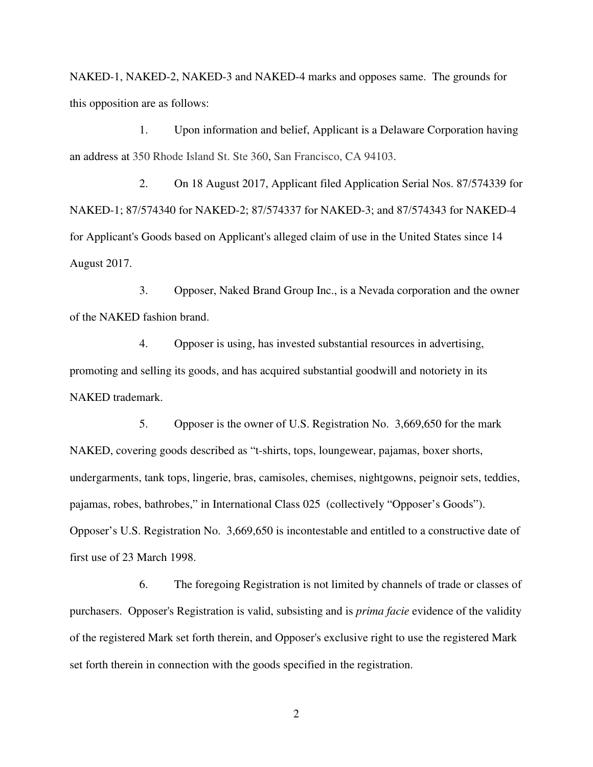NAKED-1, NAKED-2, NAKED-3 and NAKED-4 marks and opposes same. The grounds for this opposition are as follows:

1. Upon information and belief, Applicant is a Delaware Corporation having an address at 350 Rhode Island St. Ste 360, San Francisco, CA 94103.

2. On 18 August 2017, Applicant filed Application Serial Nos. 87/574339 for NAKED-1; 87/574340 for NAKED-2; 87/574337 for NAKED-3; and 87/574343 for NAKED-4 for Applicant's Goods based on Applicant's alleged claim of use in the United States since 14 August 2017.

3. Opposer, Naked Brand Group Inc., is a Nevada corporation and the owner of the NAKED fashion brand.

4. Opposer is using, has invested substantial resources in advertising, promoting and selling its goods, and has acquired substantial goodwill and notoriety in its NAKED trademark.

5. Opposer is the owner of U.S. Registration No. 3,669,650 for the mark NAKED, covering goods described as "t-shirts, tops, loungewear, pajamas, boxer shorts, undergarments, tank tops, lingerie, bras, camisoles, chemises, nightgowns, peignoir sets, teddies, pajamas, robes, bathrobes," in International Class 025 (collectively "Opposer's Goods"). Opposer's U.S. Registration No. 3,669,650 is incontestable and entitled to a constructive date of first use of 23 March 1998.

6. The foregoing Registration is not limited by channels of trade or classes of purchasers. Opposer's Registration is valid, subsisting and is *prima facie* evidence of the validity of the registered Mark set forth therein, and Opposer's exclusive right to use the registered Mark set forth therein in connection with the goods specified in the registration.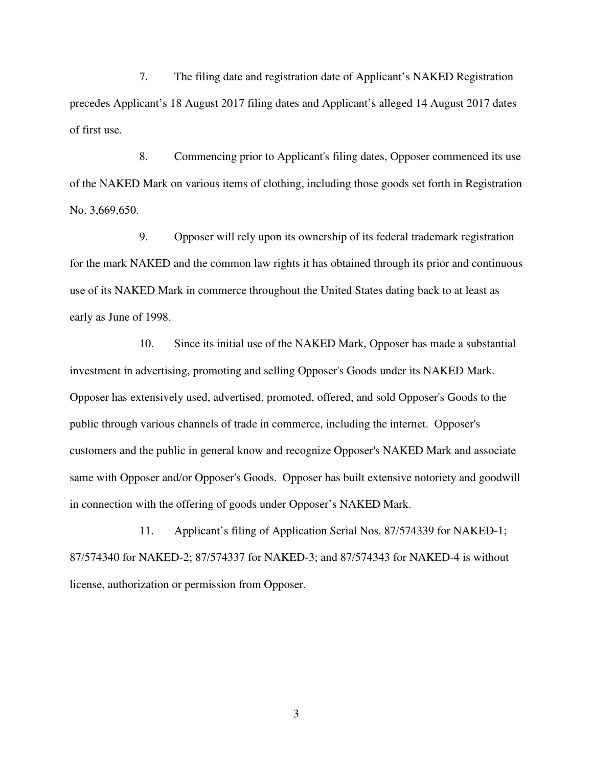7. The filing date and registration date of Applicant's NAKED Registration precedes Applicant's 18 August 2017 filing dates and Applicant's alleged 14 August 2017 dates of first use.

8. Commencing prior to Applicant's filing dates, Opposer commenced its use of the NAKED Mark on various items of clothing, including those goods set forth in Registration No. 3,669,650.

9. Opposer will rely upon its ownership of its federal trademark registration for the mark NAKED and the common law rights it has obtained through its prior and continuous use of its NAKED Mark in commerce throughout the United States dating back to at least as early as June of 1998.

10. Since its initial use of the NAKED Mark, Opposer has made a substantial investment in advertising, promoting and selling Opposer's Goods under its NAKED Mark. Opposer has extensively used, advertised, promoted, offered, and sold Opposer's Goods to the public through various channels of trade in commerce, including the internet. Opposer's customers and the public in general know and recognize Opposer's NAKED Mark and associate same with Opposer and/or Opposer's Goods. Opposer has built extensive notoriety and goodwill in connection with the offering of goods under Opposer's NAKED Mark.

11. Applicant's filing of Application Serial Nos. 87/574339 for NAKED-1; 87/574340 for NAKED-2; 87/574337 for NAKED-3; and 87/574343 for NAKED-4 is without license, authorization or permission from Opposer.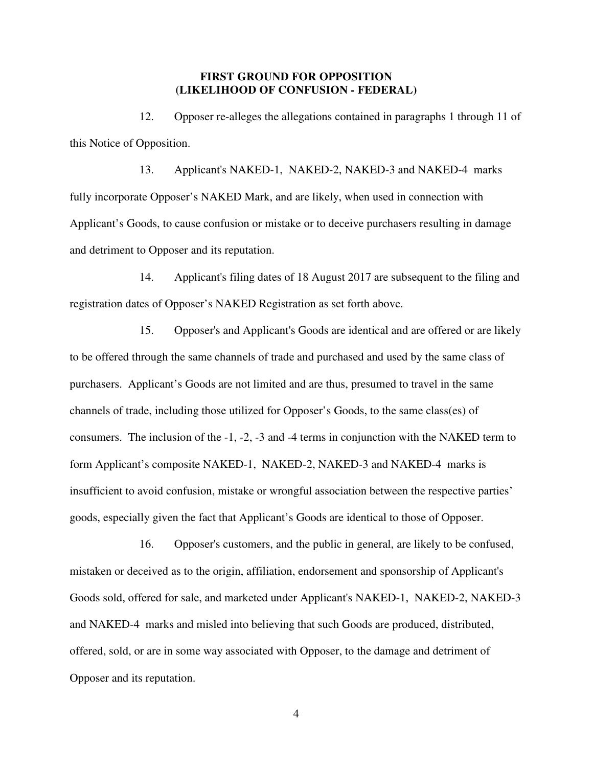#### **FIRST GROUND FOR OPPOSITION (LIKELIHOOD OF CONFUSION - FEDERAL)**

12. Opposer re-alleges the allegations contained in paragraphs 1 through 11 of this Notice of Opposition.

13. Applicant's NAKED-1, NAKED-2, NAKED-3 and NAKED-4 marks fully incorporate Opposer's NAKED Mark, and are likely, when used in connection with Applicant's Goods, to cause confusion or mistake or to deceive purchasers resulting in damage and detriment to Opposer and its reputation.

14. Applicant's filing dates of 18 August 2017 are subsequent to the filing and registration dates of Opposer's NAKED Registration as set forth above.

15. Opposer's and Applicant's Goods are identical and are offered or are likely to be offered through the same channels of trade and purchased and used by the same class of purchasers. Applicant's Goods are not limited and are thus, presumed to travel in the same channels of trade, including those utilized for Opposer's Goods, to the same class(es) of consumers. The inclusion of the -1, -2, -3 and -4 terms in conjunction with the NAKED term to form Applicant's composite NAKED-1, NAKED-2, NAKED-3 and NAKED-4 marks is insufficient to avoid confusion, mistake or wrongful association between the respective parties' goods, especially given the fact that Applicant's Goods are identical to those of Opposer.

16. Opposer's customers, and the public in general, are likely to be confused, mistaken or deceived as to the origin, affiliation, endorsement and sponsorship of Applicant's Goods sold, offered for sale, and marketed under Applicant's NAKED-1, NAKED-2, NAKED-3 and NAKED-4 marks and misled into believing that such Goods are produced, distributed, offered, sold, or are in some way associated with Opposer, to the damage and detriment of Opposer and its reputation.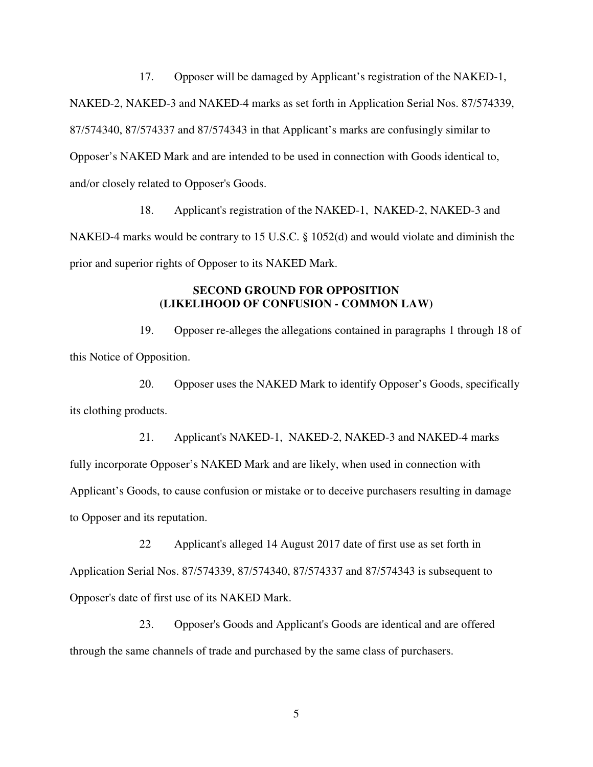17. Opposer will be damaged by Applicant's registration of the NAKED-1, NAKED-2, NAKED-3 and NAKED-4 marks as set forth in Application Serial Nos. 87/574339, 87/574340, 87/574337 and 87/574343 in that Applicant's marks are confusingly similar to Opposer's NAKED Mark and are intended to be used in connection with Goods identical to, and/or closely related to Opposer's Goods.

18. Applicant's registration of the NAKED-1, NAKED-2, NAKED-3 and NAKED-4 marks would be contrary to 15 U.S.C. § 1052(d) and would violate and diminish the prior and superior rights of Opposer to its NAKED Mark.

#### **SECOND GROUND FOR OPPOSITION (LIKELIHOOD OF CONFUSION - COMMON LAW)**

19. Opposer re-alleges the allegations contained in paragraphs 1 through 18 of this Notice of Opposition.

20. Opposer uses the NAKED Mark to identify Opposer's Goods, specifically its clothing products.

21. Applicant's NAKED-1, NAKED-2, NAKED-3 and NAKED-4 marks fully incorporate Opposer's NAKED Mark and are likely, when used in connection with Applicant's Goods, to cause confusion or mistake or to deceive purchasers resulting in damage to Opposer and its reputation.

22 Applicant's alleged 14 August 2017 date of first use as set forth in Application Serial Nos. 87/574339, 87/574340, 87/574337 and 87/574343 is subsequent to Opposer's date of first use of its NAKED Mark.

23. Opposer's Goods and Applicant's Goods are identical and are offered through the same channels of trade and purchased by the same class of purchasers.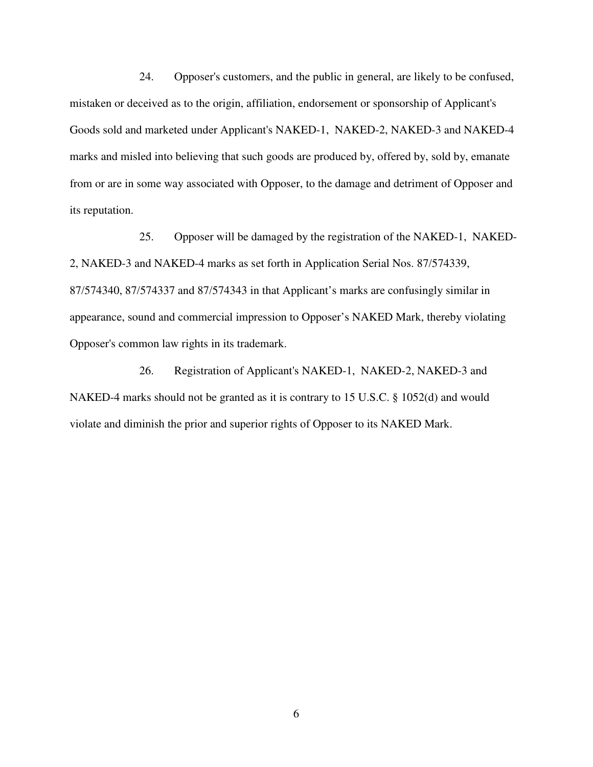24. Opposer's customers, and the public in general, are likely to be confused, mistaken or deceived as to the origin, affiliation, endorsement or sponsorship of Applicant's Goods sold and marketed under Applicant's NAKED-1, NAKED-2, NAKED-3 and NAKED-4 marks and misled into believing that such goods are produced by, offered by, sold by, emanate from or are in some way associated with Opposer, to the damage and detriment of Opposer and its reputation.

25. Opposer will be damaged by the registration of the NAKED-1, NAKED-2, NAKED-3 and NAKED-4 marks as set forth in Application Serial Nos. 87/574339, 87/574340, 87/574337 and 87/574343 in that Applicant's marks are confusingly similar in appearance, sound and commercial impression to Opposer's NAKED Mark, thereby violating Opposer's common law rights in its trademark.

26. Registration of Applicant's NAKED-1, NAKED-2, NAKED-3 and NAKED-4 marks should not be granted as it is contrary to 15 U.S.C. § 1052(d) and would violate and diminish the prior and superior rights of Opposer to its NAKED Mark.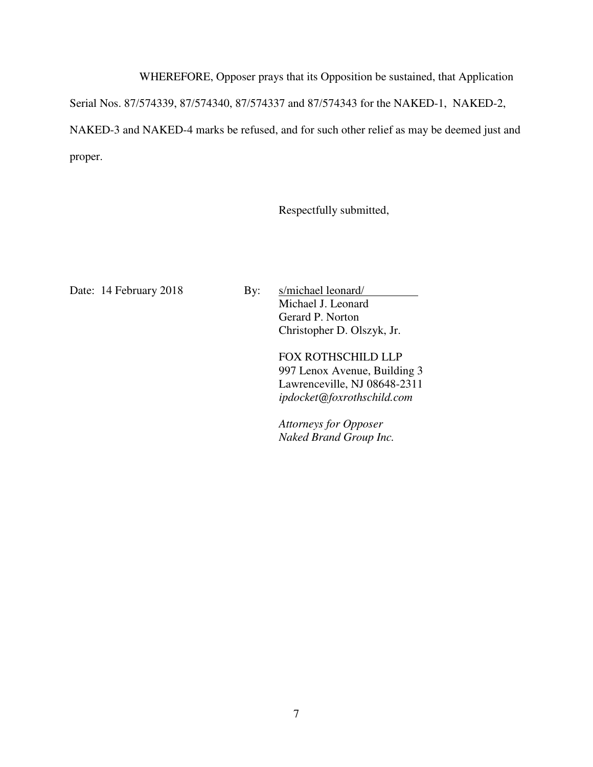WHEREFORE, Opposer prays that its Opposition be sustained, that Application

Serial Nos. 87/574339, 87/574340, 87/574337 and 87/574343 for the NAKED-1, NAKED-2,

NAKED-3 and NAKED-4 marks be refused, and for such other relief as may be deemed just and proper.

Respectfully submitted,

Date: 14 February 2018 By: s/michael leonard/

Michael J. Leonard Gerard P. Norton Christopher D. Olszyk, Jr.

FOX ROTHSCHILD LLP 997 Lenox Avenue, Building 3 Lawrenceville, NJ 08648-2311 *ipdocket@foxrothschild.com* 

*Attorneys for Opposer Naked Brand Group Inc.*